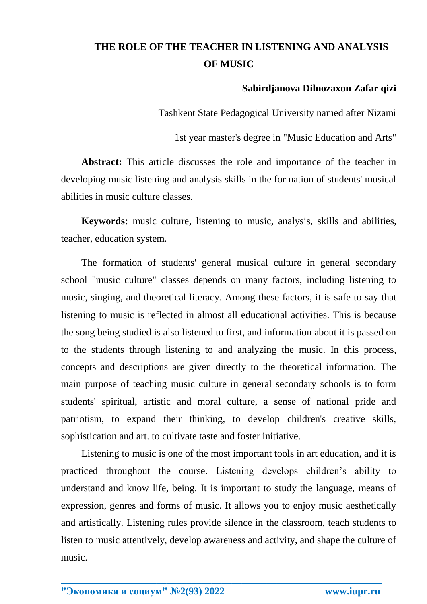## **THE ROLE OF THE TEACHER IN LISTENING AND ANALYSIS OF MUSIC**

## **Sabirdjanova Dilnozaxon Zafar qizi**

Tashkent State Pedagogical University named after Nizami

1st year master's degree in "Music Education and Arts"

**Abstract:** This article discusses the role and importance of the teacher in developing music listening and analysis skills in the formation of students' musical abilities in music culture classes.

**Keywords:** music culture, listening to music, analysis, skills and abilities, teacher, education system.

The formation of students' general musical culture in general secondary school "music culture" classes depends on many factors, including listening to music, singing, and theoretical literacy. Among these factors, it is safe to say that listening to music is reflected in almost all educational activities. This is because the song being studied is also listened to first, and information about it is passed on to the students through listening to and analyzing the music. In this process, concepts and descriptions are given directly to the theoretical information. The main purpose of teaching music culture in general secondary schools is to form students' spiritual, artistic and moral culture, a sense of national pride and patriotism, to expand their thinking, to develop children's creative skills, sophistication and art. to cultivate taste and foster initiative.

Listening to music is one of the most important tools in art education, and it is practiced throughout the course. Listening develops children's ability to understand and know life, being. It is important to study the language, means of expression, genres and forms of music. It allows you to enjoy music aesthetically and artistically. Listening rules provide silence in the classroom, teach students to listen to music attentively, develop awareness and activity, and shape the culture of music.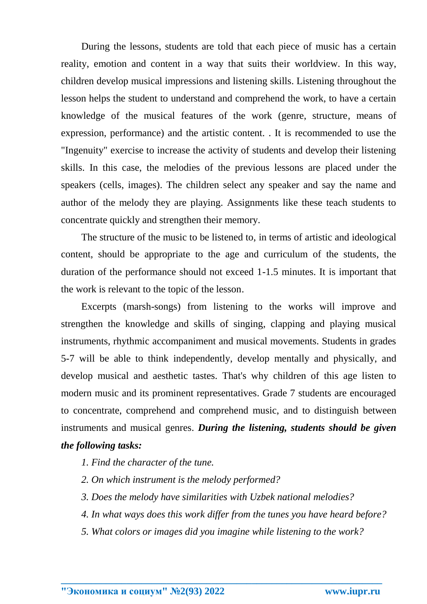During the lessons, students are told that each piece of music has a certain reality, emotion and content in a way that suits their worldview. In this way, children develop musical impressions and listening skills. Listening throughout the lesson helps the student to understand and comprehend the work, to have a certain knowledge of the musical features of the work (genre, structure, means of expression, performance) and the artistic content. . It is recommended to use the "Ingenuity" exercise to increase the activity of students and develop their listening skills. In this case, the melodies of the previous lessons are placed under the speakers (cells, images). The children select any speaker and say the name and author of the melody they are playing. Assignments like these teach students to concentrate quickly and strengthen their memory.

The structure of the music to be listened to, in terms of artistic and ideological content, should be appropriate to the age and curriculum of the students, the duration of the performance should not exceed 1-1.5 minutes. It is important that the work is relevant to the topic of the lesson.

Excerpts (marsh-songs) from listening to the works will improve and strengthen the knowledge and skills of singing, clapping and playing musical instruments, rhythmic accompaniment and musical movements. Students in grades 5-7 will be able to think independently, develop mentally and physically, and develop musical and aesthetic tastes. That's why children of this age listen to modern music and its prominent representatives. Grade 7 students are encouraged to concentrate, comprehend and comprehend music, and to distinguish between instruments and musical genres. *During the listening, students should be given the following tasks:*

- *1. Find the character of the tune.*
- *2. On which instrument is the melody performed?*
- *3. Does the melody have similarities with Uzbek national melodies?*
- *4. In what ways does this work differ from the tunes you have heard before?*
- *5. What colors or images did you imagine while listening to the work?*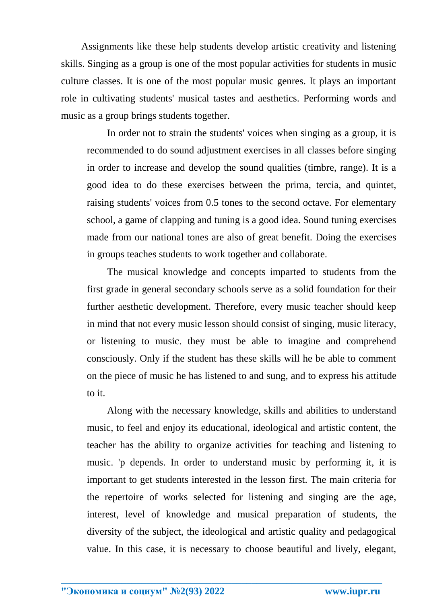Assignments like these help students develop artistic creativity and listening skills. Singing as a group is one of the most popular activities for students in music culture classes. It is one of the most popular music genres. It plays an important role in cultivating students' musical tastes and aesthetics. Performing words and music as a group brings students together.

In order not to strain the students' voices when singing as a group, it is recommended to do sound adjustment exercises in all classes before singing in order to increase and develop the sound qualities (timbre, range). It is a good idea to do these exercises between the prima, tercia, and quintet, raising students' voices from 0.5 tones to the second octave. For elementary school, a game of clapping and tuning is a good idea. Sound tuning exercises made from our national tones are also of great benefit. Doing the exercises in groups teaches students to work together and collaborate.

The musical knowledge and concepts imparted to students from the first grade in general secondary schools serve as a solid foundation for their further aesthetic development. Therefore, every music teacher should keep in mind that not every music lesson should consist of singing, music literacy, or listening to music. they must be able to imagine and comprehend consciously. Only if the student has these skills will he be able to comment on the piece of music he has listened to and sung, and to express his attitude to it.

Along with the necessary knowledge, skills and abilities to understand music, to feel and enjoy its educational, ideological and artistic content, the teacher has the ability to organize activities for teaching and listening to music. 'p depends. In order to understand music by performing it, it is important to get students interested in the lesson first. The main criteria for the repertoire of works selected for listening and singing are the age, interest, level of knowledge and musical preparation of students, the diversity of the subject, the ideological and artistic quality and pedagogical value. In this case, it is necessary to choose beautiful and lively, elegant,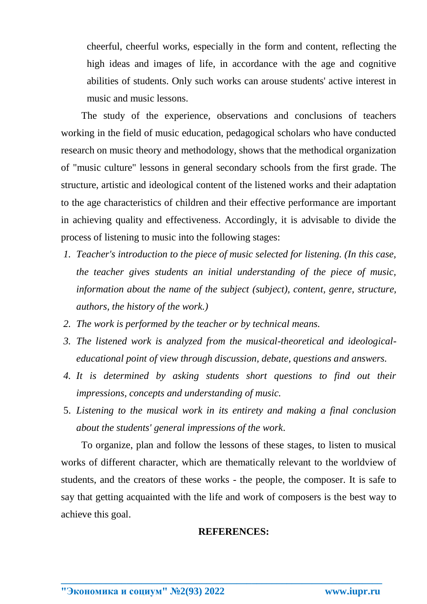cheerful, cheerful works, especially in the form and content, reflecting the high ideas and images of life, in accordance with the age and cognitive abilities of students. Only such works can arouse students' active interest in music and music lessons.

The study of the experience, observations and conclusions of teachers working in the field of music education, pedagogical scholars who have conducted research on music theory and methodology, shows that the methodical organization of "music culture" lessons in general secondary schools from the first grade. The structure, artistic and ideological content of the listened works and their adaptation to the age characteristics of children and their effective performance are important in achieving quality and effectiveness. Accordingly, it is advisable to divide the process of listening to music into the following stages:

- *1. Teacher's introduction to the piece of music selected for listening. (In this case, the teacher gives students an initial understanding of the piece of music, information about the name of the subject (subject), content, genre, structure, authors, the history of the work.)*
- *2. The work is performed by the teacher or by technical means.*
- *3. The listened work is analyzed from the musical-theoretical and ideologicaleducational point of view through discussion, debate, questions and answers.*
- *4. It is determined by asking students short questions to find out their impressions, concepts and understanding of music.*
- 5. *Listening to the musical work in its entirety and making a final conclusion about the students' general impressions of the work*.

To organize, plan and follow the lessons of these stages, to listen to musical works of different character, which are thematically relevant to the worldview of students, and the creators of these works - the people, the composer. It is safe to say that getting acquainted with the life and work of composers is the best way to achieve this goal.

## **REFERENCES:**